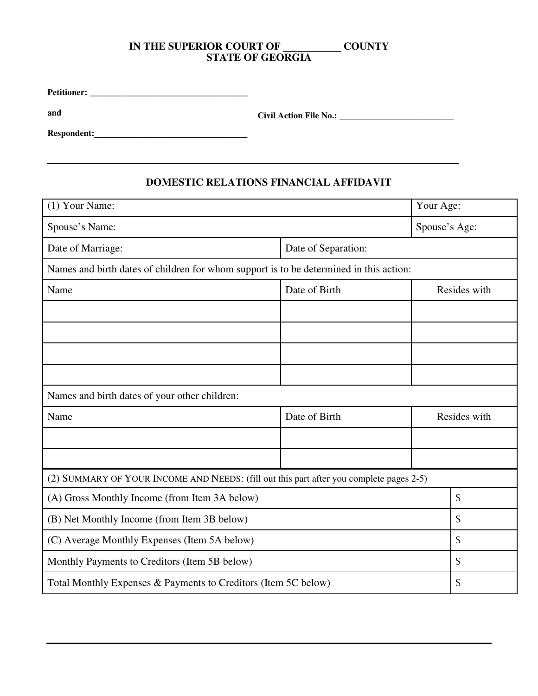## **IN THE SUPERIOR COURT OF \_\_\_\_\_\_\_\_\_\_\_ COUNTY STATE OF GEORGIA**

| <b>Petitioner:</b> |                                     |
|--------------------|-------------------------------------|
| and                | Civil Action File No.: ____________ |
| <b>Respondent:</b> |                                     |
|                    |                                     |

## **DOMESTIC RELATIONS FINANCIAL AFFIDAVIT**

| (1) Your Name:                                                                          |                     | Your Age:     |               |  |  |
|-----------------------------------------------------------------------------------------|---------------------|---------------|---------------|--|--|
| Spouse's Name:                                                                          |                     | Spouse's Age: |               |  |  |
| Date of Marriage:                                                                       | Date of Separation: |               |               |  |  |
| Names and birth dates of children for whom support is to be determined in this action:  |                     |               |               |  |  |
| Name                                                                                    | Date of Birth       | Resides with  |               |  |  |
|                                                                                         |                     |               |               |  |  |
|                                                                                         |                     |               |               |  |  |
|                                                                                         |                     |               |               |  |  |
|                                                                                         |                     |               |               |  |  |
| Names and birth dates of your other children:                                           |                     |               |               |  |  |
| Name                                                                                    | Date of Birth       |               | Resides with  |  |  |
|                                                                                         |                     |               |               |  |  |
|                                                                                         |                     |               |               |  |  |
| (2) SUMMARY OF YOUR INCOME AND NEEDS: (fill out this part after you complete pages 2-5) |                     |               |               |  |  |
| (A) Gross Monthly Income (from Item 3A below)                                           |                     |               | $\mathcal{S}$ |  |  |
| (B) Net Monthly Income (from Item 3B below)                                             |                     |               | \$            |  |  |
| (C) Average Monthly Expenses (Item 5A below)                                            |                     |               | \$            |  |  |
| Monthly Payments to Creditors (Item 5B below)                                           |                     |               | \$            |  |  |
| Total Monthly Expenses & Payments to Creditors (Item 5C below)                          |                     |               | \$            |  |  |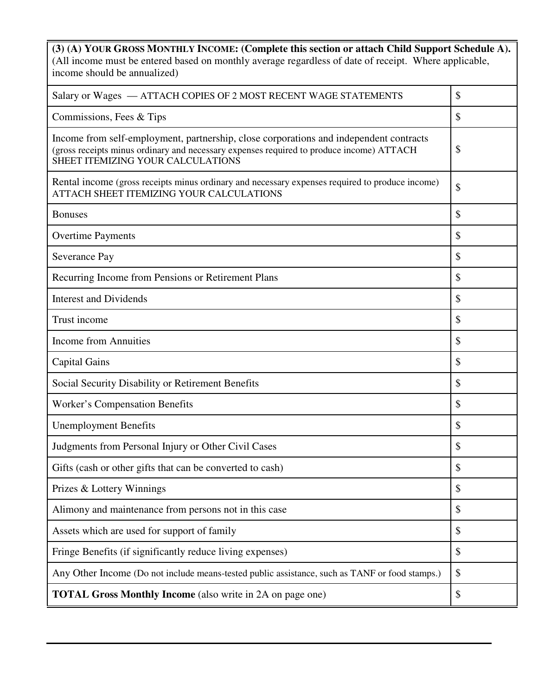| (3) (A) YOUR GROSS MONTHLY INCOME: (Complete this section or attach Child Support Schedule A).<br>(All income must be entered based on monthly average regardless of date of receipt. Where applicable,<br>income should be annualized) |    |  |  |  |
|-----------------------------------------------------------------------------------------------------------------------------------------------------------------------------------------------------------------------------------------|----|--|--|--|
| Salary or Wages — ATTACH COPIES OF 2 MOST RECENT WAGE STATEMENTS                                                                                                                                                                        | \$ |  |  |  |
| Commissions, Fees & Tips                                                                                                                                                                                                                | \$ |  |  |  |
| Income from self-employment, partnership, close corporations and independent contracts<br>(gross receipts minus ordinary and necessary expenses required to produce income) ATTACH<br>SHEET ITEMIZING YOUR CALCULATIONS                 | \$ |  |  |  |
| Rental income (gross receipts minus ordinary and necessary expenses required to produce income)<br>ATTACH SHEET ITEMIZING YOUR CALCULATIONS                                                                                             | \$ |  |  |  |
| <b>Bonuses</b>                                                                                                                                                                                                                          | \$ |  |  |  |
| <b>Overtime Payments</b>                                                                                                                                                                                                                | \$ |  |  |  |
| Severance Pay                                                                                                                                                                                                                           | \$ |  |  |  |
| Recurring Income from Pensions or Retirement Plans                                                                                                                                                                                      | \$ |  |  |  |
| <b>Interest and Dividends</b>                                                                                                                                                                                                           | \$ |  |  |  |
| Trust income                                                                                                                                                                                                                            | \$ |  |  |  |
| <b>Income from Annuities</b>                                                                                                                                                                                                            | \$ |  |  |  |
| <b>Capital Gains</b>                                                                                                                                                                                                                    | \$ |  |  |  |
| Social Security Disability or Retirement Benefits                                                                                                                                                                                       | \$ |  |  |  |
| <b>Worker's Compensation Benefits</b>                                                                                                                                                                                                   | \$ |  |  |  |
| <b>Unemployment Benefits</b>                                                                                                                                                                                                            | \$ |  |  |  |
| Judgments from Personal Injury or Other Civil Cases                                                                                                                                                                                     | \$ |  |  |  |
| Gifts (cash or other gifts that can be converted to cash)                                                                                                                                                                               | \$ |  |  |  |
| Prizes & Lottery Winnings                                                                                                                                                                                                               | \$ |  |  |  |
| Alimony and maintenance from persons not in this case                                                                                                                                                                                   | \$ |  |  |  |
| Assets which are used for support of family                                                                                                                                                                                             | \$ |  |  |  |
| Fringe Benefits (if significantly reduce living expenses)                                                                                                                                                                               | \$ |  |  |  |
| Any Other Income (Do not include means-tested public assistance, such as TANF or food stamps.)                                                                                                                                          | \$ |  |  |  |
| <b>TOTAL Gross Monthly Income</b> (also write in 2A on page one)                                                                                                                                                                        | \$ |  |  |  |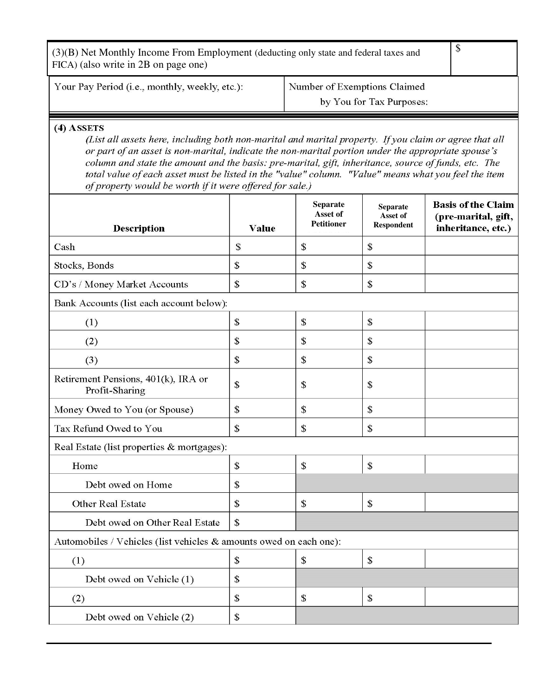(3)(B) Net Monthly Income From Employment (deducting only state and federal taxes and FICA) (also write in 2B on page one)

Your Pay Period (i.e., monthly, weekly, etc.):

Number of Exemptions Claimed by You for Tax Purposes:

## $(4)$  ASSETS

(List all assets here, including both non-marital and marital property. If you claim or agree that all or part of an asset is non-marital, indicate the non-marital portion under the appropriate spouse's column and state the amount and the basis: pre-marital, gift, inheritance, source of funds, etc. The total value of each asset must be listed in the "value" column. "Value" means what you feel the item of property would be worth if it were offered for sale.)

| <b>Description</b>                                                 | Value        | Separate<br>Asset of<br><b>Petitioner</b> | <b>Separate</b><br>Asset of<br>Respondent | <b>Basis of the Claim</b><br>(pre-marital, gift,<br>inheritance, etc.) |  |  |
|--------------------------------------------------------------------|--------------|-------------------------------------------|-------------------------------------------|------------------------------------------------------------------------|--|--|
| Cash                                                               | $\mathbb{S}$ | ${\mathbb S}$                             | $\mathbb{S}$                              |                                                                        |  |  |
| Stocks, Bonds                                                      | \$           | \$                                        | $\mathbb{S}$                              |                                                                        |  |  |
| CD's / Money Market Accounts                                       | $\mathbb{S}$ | \$                                        | \$                                        |                                                                        |  |  |
| Bank Accounts (list each account below):                           |              |                                           |                                           |                                                                        |  |  |
| (1)                                                                | $\mathbb{S}$ | $\mathbb S$                               | $\mathbb S$                               |                                                                        |  |  |
| (2)                                                                | \$           | \$                                        | \$                                        |                                                                        |  |  |
| (3)                                                                | $\mathbb{S}$ | $\mathcal{S}$                             | \$                                        |                                                                        |  |  |
| Retirement Pensions, 401(k), IRA or<br>Profit-Sharing              | $\mathbb{S}$ | $\mathcal{S}$                             | $\mathcal{S}$                             |                                                                        |  |  |
| Money Owed to You (or Spouse)                                      | $\mathbb{S}$ | $\mathcal{S}$                             | ${\mathbb S}$                             |                                                                        |  |  |
| Tax Refund Owed to You                                             | $\mathbb{S}$ | ${\mathbb S}$                             | $\mathcal{S}$                             |                                                                        |  |  |
| Real Estate (list properties & mortgages):                         |              |                                           |                                           |                                                                        |  |  |
| Home                                                               | $\mathbb{S}$ | \$                                        | $\mathbb{S}$                              |                                                                        |  |  |
| Debt owed on Home                                                  | $\mathbb{S}$ |                                           |                                           |                                                                        |  |  |
| <b>Other Real Estate</b>                                           | $\mathbb{S}$ | \$                                        | $\mathbb{S}$                              |                                                                        |  |  |
| Debt owed on Other Real Estate                                     | $\mathbb{S}$ |                                           |                                           |                                                                        |  |  |
| Automobiles / Vehicles (list vehicles & amounts owed on each one): |              |                                           |                                           |                                                                        |  |  |
| (1)                                                                | \$           | $\mathcal{S}$                             | \$                                        |                                                                        |  |  |
| Debt owed on Vehicle (1)                                           | \$           |                                           |                                           |                                                                        |  |  |
| (2)                                                                | \$           | \$                                        | \$                                        |                                                                        |  |  |
| Debt owed on Vehicle (2)                                           | \$           |                                           |                                           |                                                                        |  |  |

\$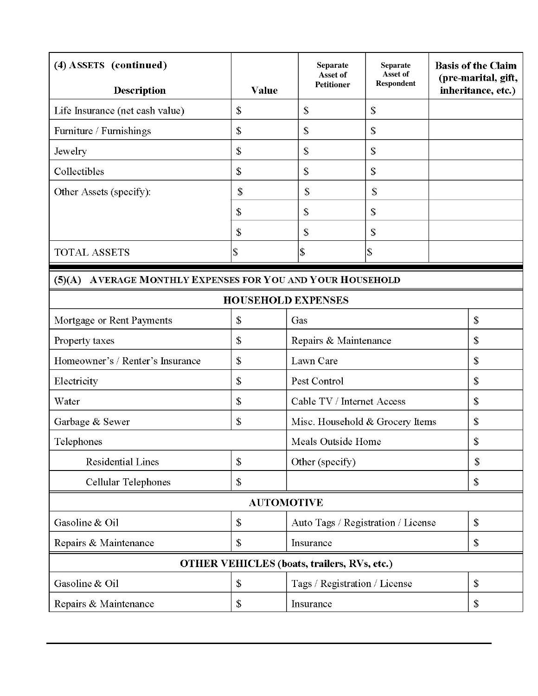| (4) ASSETS (continued)<br><b>Description</b>                  | <b>Value</b>  | <b>Separate</b><br>Asset of<br><b>Petitioner</b>   | Separate<br>Asset of<br>Respondent |  | <b>Basis of the Claim</b><br>(pre-marital, gift,<br>inheritance, etc.) |  |
|---------------------------------------------------------------|---------------|----------------------------------------------------|------------------------------------|--|------------------------------------------------------------------------|--|
| Life Insurance (net cash value)                               | \$            | \$                                                 | \$                                 |  |                                                                        |  |
| Furniture / Furnishings                                       | \$            | \$                                                 | \$                                 |  |                                                                        |  |
| Jewelry                                                       | \$            | \$                                                 | \$                                 |  |                                                                        |  |
| Collectibles                                                  | $\mathcal{S}$ | \$                                                 | $\mathbb{S}$                       |  |                                                                        |  |
| Other Assets (specify):                                       | $\$$          | \$                                                 | \$                                 |  |                                                                        |  |
|                                                               | $\mathcal{S}$ | \$                                                 | $\mathcal{S}$                      |  |                                                                        |  |
|                                                               | \$            | \$                                                 | $\mathbb{S}$                       |  |                                                                        |  |
| <b>TOTAL ASSETS</b>                                           | \$            | \$                                                 | \$                                 |  |                                                                        |  |
| AVERAGE MONTHLY EXPENSES FOR YOU AND YOUR HOUSEHOLD<br>(5)(A) |               |                                                    |                                    |  |                                                                        |  |
|                                                               |               | <b>HOUSEHOLD EXPENSES</b>                          |                                    |  |                                                                        |  |
| Mortgage or Rent Payments                                     | \$            | Gas                                                |                                    |  | \$                                                                     |  |
| Property taxes                                                | \$            | Repairs & Maintenance                              | $\mathcal{S}$                      |  |                                                                        |  |
| Homeowner's / Renter's Insurance                              | \$            | Lawn Care                                          |                                    |  | \$                                                                     |  |
| Electricity                                                   | $\mathcal{S}$ | Pest Control                                       |                                    |  | $\mathcal{S}$                                                          |  |
| Water                                                         | \$            | Cable TV / Internet Access                         |                                    |  | \$                                                                     |  |
| Garbage & Sewer                                               | S             | Misc. Household & Grocery Items                    |                                    |  | \$                                                                     |  |
| Telephones                                                    |               | Meals Outside Home                                 |                                    |  | \$                                                                     |  |
| <b>Residential Lines</b>                                      | ${\mathbb S}$ | Other (specify)                                    |                                    |  | $\mathcal{S}$                                                          |  |
| Cellular Telephones                                           | \$            |                                                    |                                    |  | ${\mathbb S}$                                                          |  |
| <b>AUTOMOTIVE</b>                                             |               |                                                    |                                    |  |                                                                        |  |
| Gasoline & Oil                                                | $\mathbb{S}$  | Auto Tags / Registration / License                 | \$                                 |  |                                                                        |  |
| Repairs & Maintenance                                         | \$            | $\mathbb{S}$<br>Insurance                          |                                    |  |                                                                        |  |
|                                                               |               | <b>OTHER VEHICLES (boats, trailers, RVs, etc.)</b> |                                    |  |                                                                        |  |
| Gasoline & Oil                                                | \$            | Tags / Registration / License                      |                                    |  | $\mathcal{S}$                                                          |  |
| Repairs & Maintenance                                         | \$            | \$<br>Insurance                                    |                                    |  |                                                                        |  |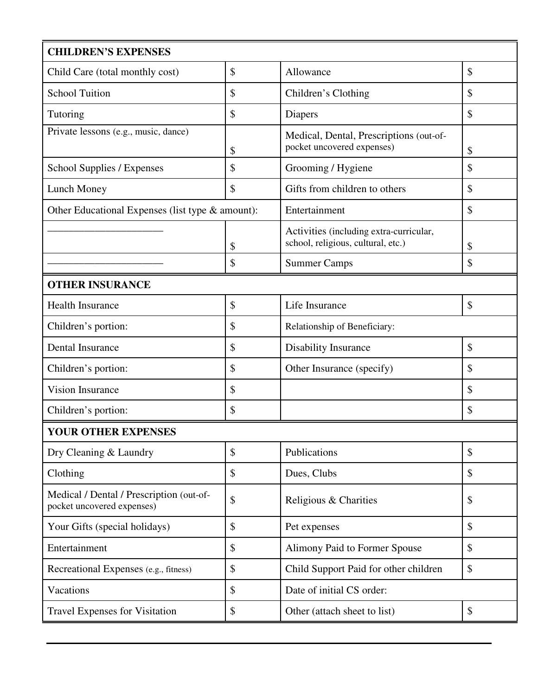| <b>CHILDREN'S EXPENSES</b>                                             |                                                                                     |    |
|------------------------------------------------------------------------|-------------------------------------------------------------------------------------|----|
| Child Care (total monthly cost)                                        | \$<br>Allowance                                                                     | \$ |
| <b>School Tuition</b>                                                  | \$<br>Children's Clothing                                                           | \$ |
| Tutoring                                                               | \$<br>Diapers                                                                       | \$ |
| Private lessons (e.g., music, dance)                                   | \$<br>Medical, Dental, Prescriptions (out-of-<br>pocket uncovered expenses)         | \$ |
| School Supplies / Expenses                                             | \$<br>Grooming / Hygiene                                                            | \$ |
| Lunch Money                                                            | \$<br>Gifts from children to others                                                 | \$ |
| Other Educational Expenses (list type & amount):                       | Entertainment                                                                       | \$ |
|                                                                        | \$<br>Activities (including extra-curricular,<br>school, religious, cultural, etc.) | \$ |
|                                                                        | \$<br><b>Summer Camps</b>                                                           | \$ |
| <b>OTHER INSURANCE</b>                                                 |                                                                                     |    |
| <b>Health Insurance</b>                                                | \$<br>Life Insurance                                                                | \$ |
| Children's portion:                                                    | \$<br>Relationship of Beneficiary:                                                  |    |
| Dental Insurance                                                       | \$<br>Disability Insurance                                                          | \$ |
| Children's portion:                                                    | \$<br>Other Insurance (specify)                                                     | \$ |
| <b>Vision Insurance</b>                                                | \$                                                                                  | \$ |
| Children's portion:                                                    | \$                                                                                  | \$ |
| YOUR OTHER EXPENSES                                                    |                                                                                     |    |
| Dry Cleaning & Laundry                                                 | \$<br>Publications                                                                  | \$ |
| Clothing                                                               | \$<br>Dues, Clubs                                                                   | \$ |
| Medical / Dental / Prescription (out-of-<br>pocket uncovered expenses) | \$<br>Religious & Charities                                                         | \$ |
| Your Gifts (special holidays)                                          | \$<br>Pet expenses                                                                  | \$ |
| Entertainment                                                          | \$<br>Alimony Paid to Former Spouse                                                 | \$ |
| Recreational Expenses (e.g., fitness)                                  | \$<br>Child Support Paid for other children                                         | \$ |
| Vacations                                                              | \$<br>Date of initial CS order:                                                     |    |
| Travel Expenses for Visitation                                         | \$<br>Other (attach sheet to list)                                                  | \$ |